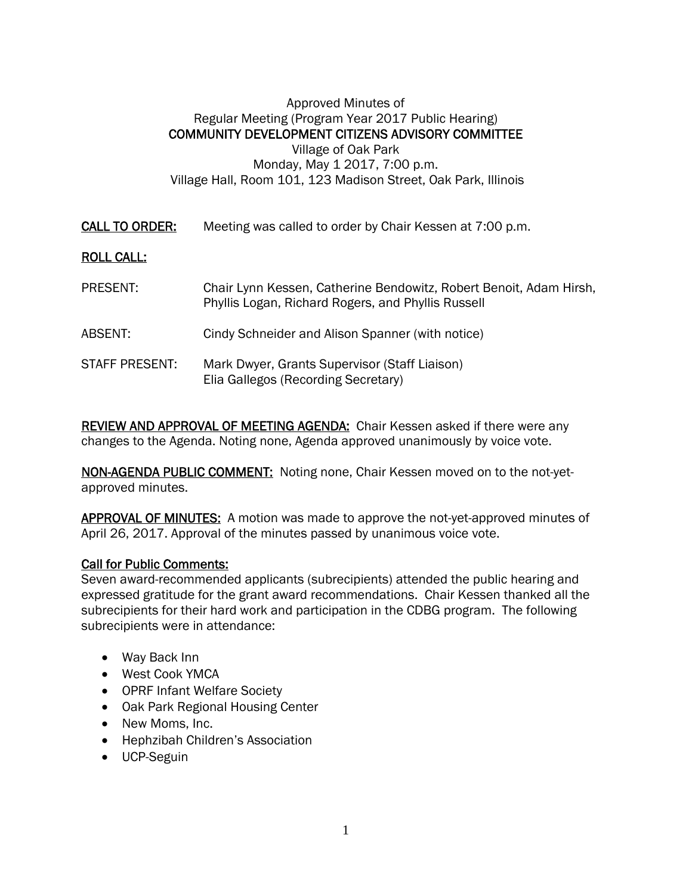## Approved Minutes of Regular Meeting (Program Year 2017 Public Hearing) COMMUNITY DEVELOPMENT CITIZENS ADVISORY COMMITTEE Village of Oak Park Monday, May 1 2017, 7:00 p.m. Village Hall, Room 101, 123 Madison Street, Oak Park, Illinois

CALL TO ORDER: Meeting was called to order by Chair Kessen at 7:00 p.m.

## ROLL CALL:

- PRESENT: Chair Lynn Kessen, Catherine Bendowitz, Robert Benoit, Adam Hirsh, Phyllis Logan, Richard Rogers, and Phyllis Russell
- ABSENT: Cindy Schneider and Alison Spanner (with notice)
- STAFF PRESENT: Mark Dwyer, Grants Supervisor (Staff Liaison) Elia Gallegos (Recording Secretary)

REVIEW AND APPROVAL OF MEETING AGENDA: Chair Kessen asked if there were any changes to the Agenda. Noting none, Agenda approved unanimously by voice vote.

NON-AGENDA PUBLIC COMMENT: Noting none, Chair Kessen moved on to the not-yetapproved minutes.

APPROVAL OF MINUTES: A motion was made to approve the not-yet-approved minutes of April 26, 2017. Approval of the minutes passed by unanimous voice vote.

## Call for Public Comments:

Seven award-recommended applicants (subrecipients) attended the public hearing and expressed gratitude for the grant award recommendations. Chair Kessen thanked all the subrecipients for their hard work and participation in the CDBG program. The following subrecipients were in attendance:

- Way Back Inn
- West Cook YMCA
- OPRF Infant Welfare Society
- Oak Park Regional Housing Center
- New Moms, Inc.
- Hephzibah Children's Association
- UCP-Seguin